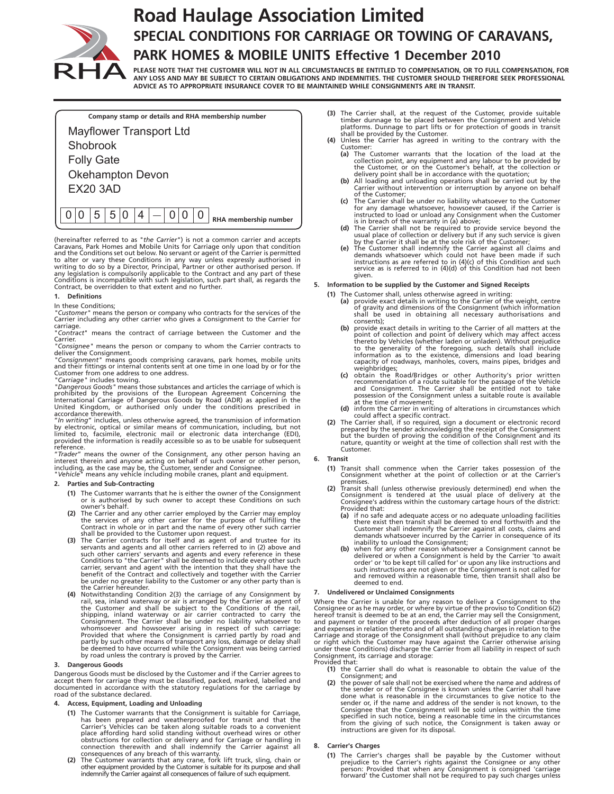

# **Road Haulage Association Limited SPECIAL CONDITIONS FOR CARRIAGE OR TOWING OF CARAVANS, PARK HOMES & MOBILE UNITS Effective 1 December 2010**

**PLEASE NOTE THAT THE CUSTOMER WILL NOT IN ALL CIRCUMSTANCES BE ENTITLED TO COMPENSATION, OR TO FULL COMPENSATION, FOR ANY LOSS AND MAY BE SUBJECT TO CERTAIN OBLIGATIONS AND INDEMNITIES. THE CUSTOMER SHOULD THEREFORE SEEK PROFESSIONAL ADVICE AS TO APPROPRIATE INSURANCE COVER TO BE MAINTAINED WHILE CONSIGNMENTS ARE IN TRANSIT.**

| Company stamp or details and RHA membership number |
|----------------------------------------------------|
| <b>Mayflower Transport Ltd</b>                     |
| Shobrook                                           |
| <b>Folly Gate</b>                                  |
| <b>Okehampton Devon</b><br><b>EX20 3AD</b>         |
| 5 0<br>5<br>4<br>RHA membership number             |
|                                                    |

(hereinafter referred to as "*the Carrier*") is not a common carrier and accepts<br>Caravans, Park Homes and Mobile Units for Carriage only upon that condition<br>and the Conditions set out below. No servant or agent of the Carr Contract, be overridden to that extent and no further.

#### **1. Definitions**

## In these Conditions;

*"Customer"* means the person or company who contracts for the services of the Carrier including any other carrier who gives a Consignment to the Carrier for carriage.

"*Contract*" means the contract of carriage between the Customer and the **Carrier** 

*"Consignee"* means the person or company to whom the Carrier contracts to

deliver the Consignment.<br>"Co*nsignment"* means goods comprising caravans, park homes, mobile units<br>and their fittings or internal contents sent at one time in one load by or for the<br>Customer from one address to one address

*"Carriage"* includes towing. *"Dangerous Goods"* means those substances and articles the carriage of which is prohibited by the provisions of the European Agreement Concerning the<br>International Carriage of Dangerous Goods by Road (ADR) as applied in the<br>United Kingdom, or authorised only under the conditions prescribed in accordance therewith.

"In writing" includes, unless otherwise agreed, the transmission of information<br>by electronic, optical or similar means of communication, including, but not<br>limited to, facsimile, electronic mail or electronic data interch

reference.<br>"*Trader*" means the owner of the Consignment, any other person having an<br>interest therein and anyone acting on behalf of such owner or other person,<br>including, as the case may be, the Customer, sender and Consi

# **2. Parties and Sub-Contracting**

- **(1)** The Customer warrants that he is either the owner of the Consignment or is authorised by such owner to accept these Conditions on such owner's behalf.
- **(2)** The Carrier and any other carrier employed by the Carrier may employ
- the services of any other carrier for the purpose of fulfilling the<br>Contract in whole or in part and the name of every other such carrier<br>shall be provided to the Customer upon request.<br>(3) The Carrier contracts for itself be under no greater liability to the Customer or any other party than is
- (4) Notwithstanding Condition 2(3) the carriage of any Consignment by<br>
rail, sea, inland waterway or air is arranged by the Carrier as agent of<br>
the Customer and shall be subject to the Conditions of the rail,<br>
shipping, i partly by such other means of transport any loss, damage or delay shall be deemed to have occurred while the Consignment was being carried by road unless the contrary is proved by the Carrier.

#### **3. Dangerous Goods**

Dangerous Goods must be disclosed by the Customer and if the Carrier agrees to<br>accept them for carriage they must be classified, packed, marked, labelled and<br>documented in accordance with the statutory regulations for the road of the substance declared.

# **4. Access, Equipment, Loading and Unloading**

- (1) The Customer warrants that the Consignment is suitable for Carriage,<br>has been prepared and weatherproofed for transit and that the<br>Carrier's Vehicles can be taken along suitable roads to a convenient<br>place affording h
- 
- **(3)** The Carrier shall, at the request of the Customer, provide suitable<br>timber dunnage to be placed between the Consignment and Vehicle<br>platforms. Dunnage to part lifts or for protection of goods in transit
- shall be provided by the Customer. **(4)** Unless the Carrier has agreed in writing to the contrary with the Customer:
	- **(a)** The Customer warrants that the location of the load at the collection point, any equipment and any labour to be provided by the Customer, or on the Customer's behalf, at the collection or delivery point shall be in accordance with the quotation;
	- **(b)** All loading and unloading operations shall be carried out by the Carrier without intervention or interruption by anyone on behalf of the Customer;
	- **(c)** The Carrier shall be under no liability whatsoever to the Customer
	-
	- for any damage whatsoever, howsoever caused, if the Carrier is<br>instructed to load or unload any Consignment when the Customer<br>is in breach of the warranty in (a) above;<br>(d) The Carrier shall not be required to provide ser service as is referred to in (4)(d) of this Condition had not been given.

## **5. Information to be supplied by the Customer and Signed Receipts**

- 
- (1) The Customer shall, unless otherwise agreed in writing:<br>(a) provide exact details in writing to the Carrier of the weight, centre<br>of gravity and dimensions of the Consignment (which information<br>shall be used in obtaini consents);
	- (b) provide exact details in writing to the Carrier of all matters at the point of collection and point of delivery which may affect access thereto by Vehicles (whether laden or unladen). Without prejudice to the generalit capacity of roadways, manholes, covers, mains pipes, bridges and weighbridges;
	- **(c)** obtain the Road/Bridges or other Authority's prior written<br>recommendation of a route suitable for the passage of the Vehicle<br>and Consignment. The Carrier shall be entitled not to take possession of the Consignment unless a suitable route is available at the time of movement;
	-
- (d) inform the Carrier in writing of alterations in circumstances which<br>could affect a specific contract.<br>The Carrier shall, if so required, sign a document or electronic record<br>prepared by the sender acknowledging the re Customer.

## **6. Transit**

- **(1)** Transit shall commence when the Carrier takes possession of the Consignment whether at the point of collection or at the Carrier's premises.
- **(2)** Transit shall (unless otherwise previously determined) end when the Consignment is tendered at the usual place of delivery at the Consignee's address within the customary cartage hours of the district: Provided that:<br>(a) if no safe
	- **(a)** if no safe and adequate access or no adequate unloading facilities there exist then transit shall be deemed to end forthwith and the<br>Customer shall indemnify the Carrier against all costs, claims and<br>demands whatsoever incurred by the Carrier in consequence of its<br>inability to unload the
	- (b) when for any other reason whatsoever a Consignment cannot be delivered or when a Consignment is held by the Carrier 'to await order' or 'or be kept till called for' or upon any like instructions and such instructions a and removed within a reasonable time, then transit shall also be deemed to end.

## **7. Undelivered or Unclaimed Consignments**

Where the Carrier is unable for any reason to deliver a Consignment to the Consignee or as he may order, or where by virtue of the proviso to Condition 6(2)<br>hereof transit is deemed to be at an end, the Carrier may sell the Consignment,<br>and payment or tender of the proceeds after deduction of all or right which the Customer may have against the Carrier otherwise arising under these Conditions) discharge the Carrier from all liability in respect of such Consignment, its carriage and storage: Provided that:

- **(1)** the Carrier shall do what is reasonable to obtain the value of the
- Consignment; and **(2)** the power of sale shall not be exercised where the name and address of the sender or of the Consignee is known unless the Carrier shall have done what is reasonable in the circumstances to give notice to the sender or, if the name and address of the sender is not known, to the Consignee that the Consignment will be sold unless within the time specified in such notice, being a reasonable time in the circumstances from the giving of such notice, the Consignment is taken away or instructions are given for its disposal.

## **8. Carrier's Charges**

(1) The Carrier's charges shall be payable by the Customer without prejudice to the Carrier's rights against the Consignee or any other person: Provided that when any Consignment is consigned 'carriage forward' the Custome